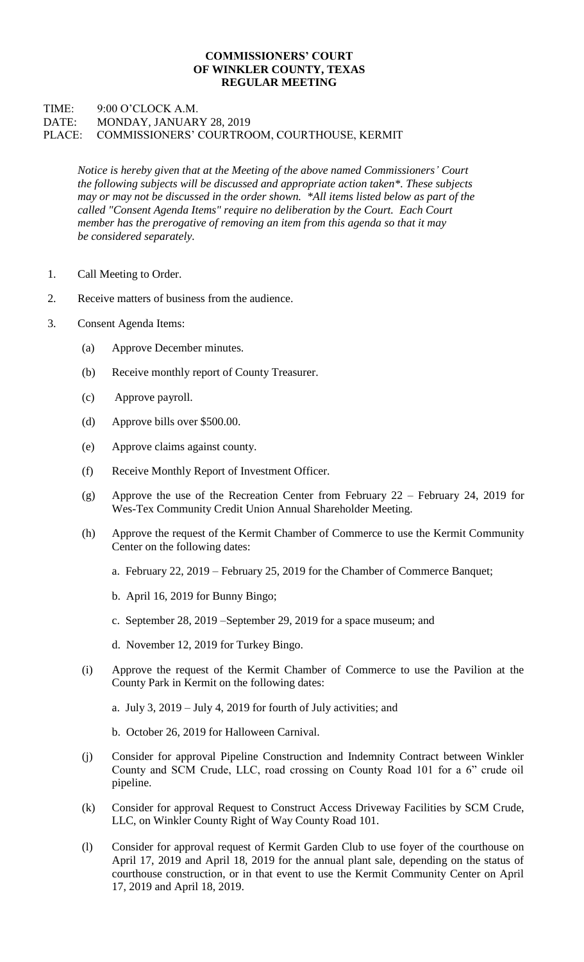## **COMMISSIONERS' COURT OF WINKLER COUNTY, TEXAS REGULAR MEETING**

## TIME: 9:00 O'CLOCK A.M. DATE: MONDAY, JANUARY 28, 2019 PLACE: COMMISSIONERS' COURTROOM, COURTHOUSE, KERMIT

*Notice is hereby given that at the Meeting of the above named Commissioners' Court the following subjects will be discussed and appropriate action taken\*. These subjects may or may not be discussed in the order shown. \*All items listed below as part of the called "Consent Agenda Items" require no deliberation by the Court. Each Court member has the prerogative of removing an item from this agenda so that it may be considered separately.*

- 1. Call Meeting to Order.
- 2. Receive matters of business from the audience.
- 3. Consent Agenda Items:
	- (a) Approve December minutes.
	- (b) Receive monthly report of County Treasurer.
	- (c) Approve payroll.
	- (d) Approve bills over \$500.00.
	- (e) Approve claims against county.
	- (f) Receive Monthly Report of Investment Officer.
	- (g) Approve the use of the Recreation Center from February 22 February 24, 2019 for Wes-Tex Community Credit Union Annual Shareholder Meeting.
	- (h) Approve the request of the Kermit Chamber of Commerce to use the Kermit Community Center on the following dates:
		- a. February 22, 2019 February 25, 2019 for the Chamber of Commerce Banquet;
		- b. April 16, 2019 for Bunny Bingo;
		- c. September 28, 2019 –September 29, 2019 for a space museum; and
		- d. November 12, 2019 for Turkey Bingo.
	- (i) Approve the request of the Kermit Chamber of Commerce to use the Pavilion at the County Park in Kermit on the following dates:
		- a. July 3, 2019 July 4, 2019 for fourth of July activities; and
		- b. October 26, 2019 for Halloween Carnival.
	- (j) Consider for approval Pipeline Construction and Indemnity Contract between Winkler County and SCM Crude, LLC, road crossing on County Road 101 for a 6" crude oil pipeline.
	- (k) Consider for approval Request to Construct Access Driveway Facilities by SCM Crude, LLC, on Winkler County Right of Way County Road 101.
	- (l) Consider for approval request of Kermit Garden Club to use foyer of the courthouse on April 17, 2019 and April 18, 2019 for the annual plant sale, depending on the status of courthouse construction, or in that event to use the Kermit Community Center on April 17, 2019 and April 18, 2019.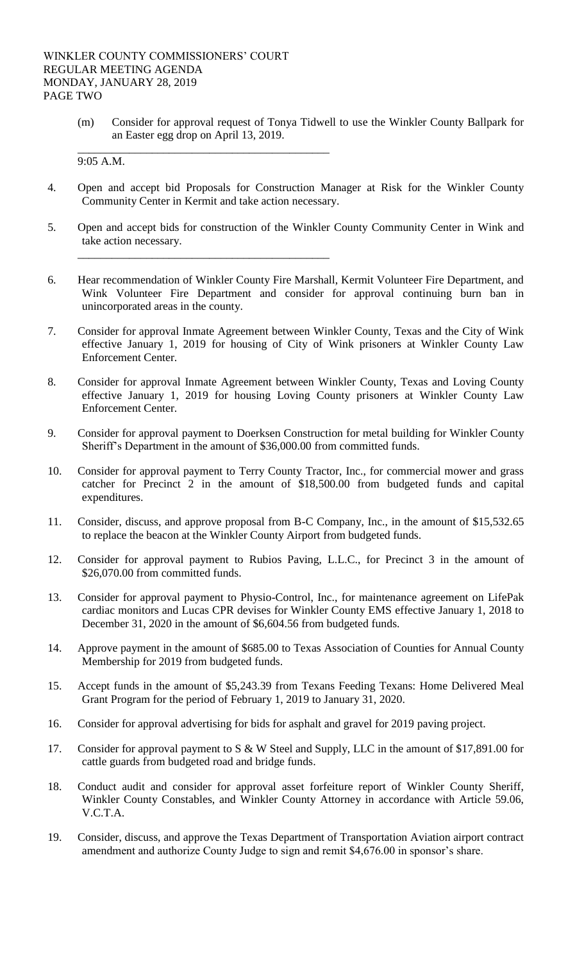\_\_\_\_\_\_\_\_\_\_\_\_\_\_\_\_\_\_\_\_\_\_\_\_\_\_\_\_\_\_\_\_\_\_\_\_\_\_\_\_\_\_\_\_

\_\_\_\_\_\_\_\_\_\_\_\_\_\_\_\_\_\_\_\_\_\_\_\_\_\_\_\_\_\_\_\_\_\_\_\_\_\_\_\_\_\_\_\_

(m) Consider for approval request of Tonya Tidwell to use the Winkler County Ballpark for an Easter egg drop on April 13, 2019.

9:05 A.M.

- 4. Open and accept bid Proposals for Construction Manager at Risk for the Winkler County Community Center in Kermit and take action necessary.
- 5. Open and accept bids for construction of the Winkler County Community Center in Wink and take action necessary.
- 6. Hear recommendation of Winkler County Fire Marshall, Kermit Volunteer Fire Department, and Wink Volunteer Fire Department and consider for approval continuing burn ban in unincorporated areas in the county.
- 7. Consider for approval Inmate Agreement between Winkler County, Texas and the City of Wink effective January 1, 2019 for housing of City of Wink prisoners at Winkler County Law Enforcement Center.
- 8. Consider for approval Inmate Agreement between Winkler County, Texas and Loving County effective January 1, 2019 for housing Loving County prisoners at Winkler County Law Enforcement Center.
- 9. Consider for approval payment to Doerksen Construction for metal building for Winkler County Sheriff's Department in the amount of \$36,000.00 from committed funds.
- 10. Consider for approval payment to Terry County Tractor, Inc., for commercial mower and grass catcher for Precinct 2 in the amount of \$18,500.00 from budgeted funds and capital expenditures.
- 11. Consider, discuss, and approve proposal from B-C Company, Inc., in the amount of \$15,532.65 to replace the beacon at the Winkler County Airport from budgeted funds.
- 12. Consider for approval payment to Rubios Paving, L.L.C., for Precinct 3 in the amount of \$26,070.00 from committed funds.
- 13. Consider for approval payment to Physio-Control, Inc., for maintenance agreement on LifePak cardiac monitors and Lucas CPR devises for Winkler County EMS effective January 1, 2018 to December 31, 2020 in the amount of \$6,604.56 from budgeted funds.
- 14. Approve payment in the amount of \$685.00 to Texas Association of Counties for Annual County Membership for 2019 from budgeted funds.
- 15. Accept funds in the amount of \$5,243.39 from Texans Feeding Texans: Home Delivered Meal Grant Program for the period of February 1, 2019 to January 31, 2020.
- 16. Consider for approval advertising for bids for asphalt and gravel for 2019 paving project.
- 17. Consider for approval payment to S & W Steel and Supply, LLC in the amount of \$17,891.00 for cattle guards from budgeted road and bridge funds.
- 18. Conduct audit and consider for approval asset forfeiture report of Winkler County Sheriff, Winkler County Constables, and Winkler County Attorney in accordance with Article 59.06, V.C.T.A.
- 19. Consider, discuss, and approve the Texas Department of Transportation Aviation airport contract amendment and authorize County Judge to sign and remit \$4,676.00 in sponsor's share.